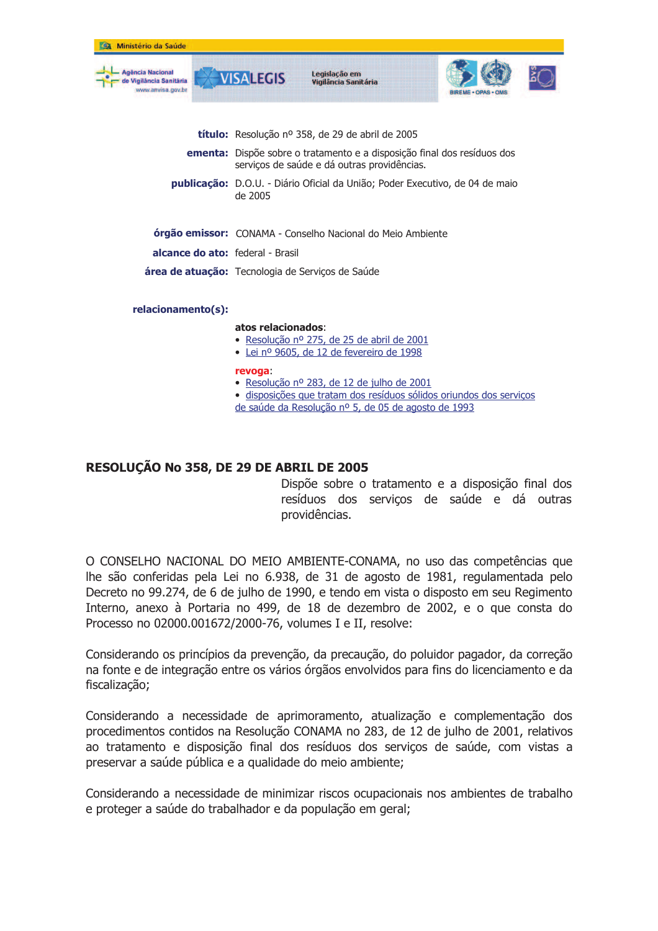| Ministério da Saúde                                             |                                                                                                                               |                                                                                         |                                                                     |
|-----------------------------------------------------------------|-------------------------------------------------------------------------------------------------------------------------------|-----------------------------------------------------------------------------------------|---------------------------------------------------------------------|
| Agência Nacional<br>e Vigilância Sanităria<br>www.anvisa.gov.br | <b>VISALEGIS</b>                                                                                                              | Legislação em<br>Vigilância Sanitária                                                   |                                                                     |
|                                                                 |                                                                                                                               |                                                                                         |                                                                     |
|                                                                 | título: Resolução nº 358, de 29 de abril de 2005                                                                              |                                                                                         |                                                                     |
|                                                                 | <b>ementa:</b> Dispõe sobre o tratamento e a disposição final dos resíduos dos<br>serviços de saúde e dá outras providências. |                                                                                         |                                                                     |
|                                                                 | publicação: D.O.U. - Diário Oficial da União; Poder Executivo, de 04 de maio<br>de 2005                                       |                                                                                         |                                                                     |
|                                                                 | órgão emissor: CONAMA - Conselho Nacional do Meio Ambiente                                                                    |                                                                                         |                                                                     |
| <b>alcance do ato:</b> federal - Brasil                         |                                                                                                                               |                                                                                         |                                                                     |
|                                                                 | <b>área de atuação:</b> Tecnologia de Serviços de Saúde                                                                       |                                                                                         |                                                                     |
| relacionamento(s):                                              |                                                                                                                               |                                                                                         |                                                                     |
|                                                                 | atos relacionados:                                                                                                            | · Resolução nº 275, de 25 de abril de 2001<br>· Lei nº 9605, de 12 de fevereiro de 1998 |                                                                     |
|                                                                 | revoga:                                                                                                                       | • Resolução nº 283, de 12 de julho de 2001                                              | · disposições que tratam dos resíduos sólidos oriundos dos serviços |

de saúde da Resolução nº 5, de 05 de agosto de 1993

## RESOLUÇÃO No 358, DE 29 DE ABRIL DE 2005

Dispõe sobre o tratamento e a disposição final dos resíduos dos serviços de saúde e dá outras providências.

O CONSELHO NACIONAL DO MEIO AMBIENTE-CONAMA, no uso das competências que lhe são conferidas pela Lei no 6.938, de 31 de agosto de 1981, regulamentada pelo Decreto no 99.274, de 6 de julho de 1990, e tendo em vista o disposto em seu Regimento Interno, anexo à Portaria no 499, de 18 de dezembro de 2002, e o que consta do Processo no 02000.001672/2000-76, volumes I e II, resolve:

Considerando os princípios da prevenção, da precaução, do poluidor pagador, da correção na fonte e de integração entre os vários órgãos envolvidos para fins do licenciamento e da fiscalização;

Considerando a necessidade de aprimoramento, atualização e complementação dos procedimentos contidos na Resolução CONAMA no 283, de 12 de julho de 2001, relativos ao tratamento e disposição final dos resíduos dos servicos de saúde, com vistas a preservar a saúde pública e a qualidade do meio ambiente;

Considerando a necessidade de minimizar riscos ocupacionais nos ambientes de trabalho e proteger a saúde do trabalhador e da população em geral;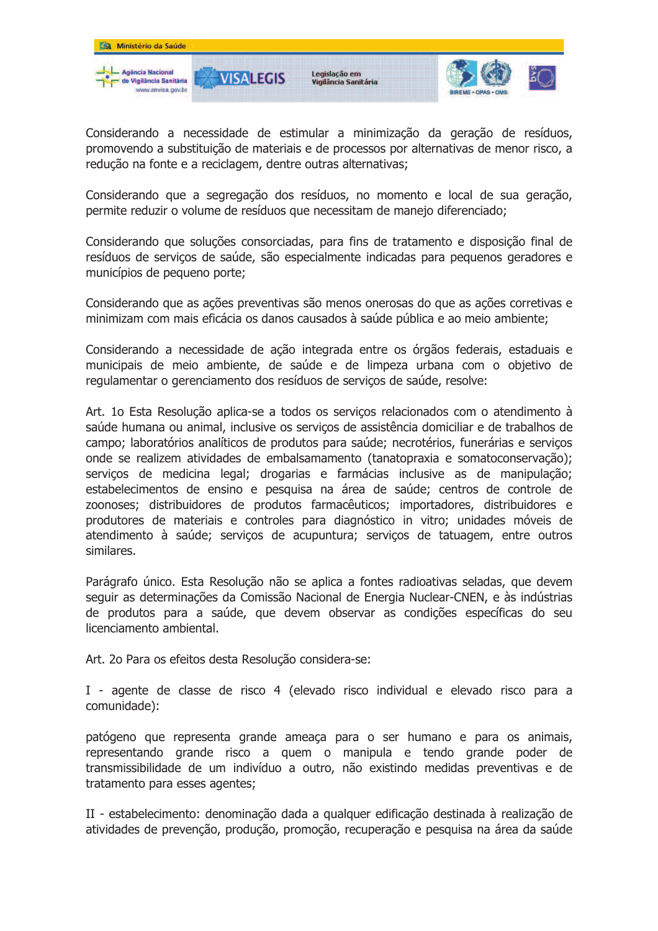

Considerando a necessidade de estimular a minimização da geração de resíduos, promovendo a substituição de materiais e de processos por alternativas de menor risco, a redução na fonte e a reciclagem, dentre outras alternativas;

Considerando que a segregação dos resíduos, no momento e local de sua geração, permite reduzir o volume de resíduos que necessitam de manejo diferenciado;

Considerando que soluções consorciadas, para fins de tratamento e disposição final de resíduos de servicos de saúde, são especialmente indicadas para pequenos geradores e municípios de pequeno porte;

Considerando que as ações preventivas são menos onerosas do que as ações corretivas e minimizam com mais eficácia os danos causados à saúde pública e ao meio ambiente;

Considerando a necessidade de ação integrada entre os órgãos federais, estaduais e municipais de meio ambiente, de saúde e de limpeza urbana com o objetivo de regulamentar o gerenciamento dos resíduos de serviços de saúde, resolve:

Art. 10 Esta Resolução aplica-se a todos os servicos relacionados com o atendimento à saúde humana ou animal, inclusive os serviços de assistência domiciliar e de trabalhos de campo; laboratórios analíticos de produtos para saúde; necrotérios, funerárias e servicos onde se realizem atividades de embalsamamento (tanatopraxia e somatoconservação); serviços de medicina legal; drogarias e farmácias inclusive as de manipulação; estabelecimentos de ensino e pesquisa na área de saúde; centros de controle de zoonoses; distribuidores de produtos farmacêuticos; importadores, distribuidores e produtores de materiais e controles para diagnóstico in vitro; unidades móveis de atendimento à saúde; serviços de acupuntura; serviços de tatuagem, entre outros similares.

Parágrafo único. Esta Resolução não se aplica a fontes radioativas seladas, que devem seguir as determinações da Comissão Nacional de Energia Nuclear-CNEN, e às indústrias de produtos para a saúde, que devem observar as condições específicas do seu licenciamento ambiental.

Art. 20 Para os efeitos desta Resolução considera-se:

I - agente de classe de risco 4 (elevado risco individual e elevado risco para a comunidade):

patógeno que representa grande ameaça para o ser humano e para os animais, representando grande risco a quem o manipula e tendo grande poder de transmissibilidade de um indivíduo a outro, não existindo medidas preventivas e de tratamento para esses agentes;

II - estabelecimento: denominação dada a qualquer edificação destinada à realização de atividades de prevenção, produção, promoção, recuperação e pesquisa na área da saúde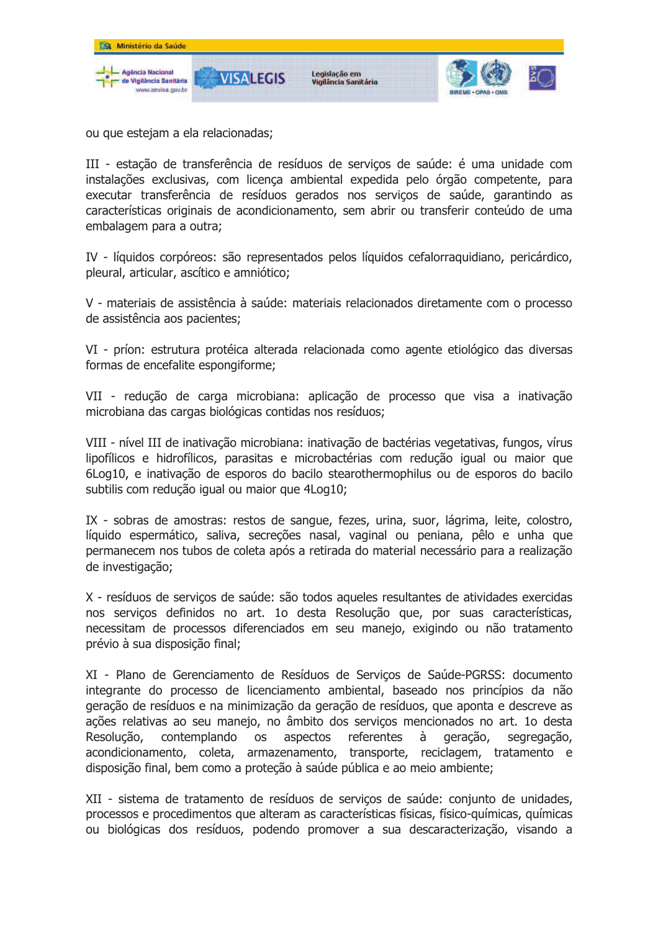

ou que estejam a ela relacionadas;

III - estação de transferência de resíduos de servicos de saúde: é uma unidade com instalações exclusivas, com licenca ambiental expedida pelo órgão competente, para executar transferência de resíduos gerados nos serviços de saúde, garantindo as características originais de acondicionamento, sem abrir ou transferir conteúdo de uma embalagem para a outra;

IV - líquidos corpóreos: são representados pelos líquidos cefalorraquidiano, pericárdico, pleural, articular, ascítico e amniótico;

V - materiais de assistência à saúde: materiais relacionados diretamente com o processo de assistência aos pacientes;

VI - príon: estrutura protéica alterada relacionada como agente etiológico das diversas formas de encefalite espongiforme;

VII - redução de carga microbiana: aplicação de processo que visa a inativação microbiana das cargas biológicas contidas nos resíduos;

VIII - nível III de inativação microbiana: inativação de bactérias vegetativas, fungos, vírus lipofílicos e hidrofílicos, parasitas e microbactérias com redução igual ou maior que 6Log10, e inativação de esporos do bacilo stearothermophilus ou de esporos do bacilo subtilis com redução igual ou maior que 4Log10;

IX - sobras de amostras: restos de sangue, fezes, urina, suor, lágrima, leite, colostro, líquido espermático, saliva, secreções nasal, vaginal ou peniana, pêlo e unha que permanecem nos tubos de coleta após a retirada do material necessário para a realização de investigação;

X - resíduos de serviços de saúde: são todos aqueles resultantes de atividades exercidas nos servicos definidos no art. 1o desta Resolução que, por suas características, necessitam de processos diferenciados em seu manejo, exigindo ou não tratamento prévio à sua disposição final;

XI - Plano de Gerenciamento de Resíduos de Servicos de Saúde-PGRSS; documento integrante do processo de licenciamento ambiental, baseado nos princípios da não geração de resíduos e na minimização da geração de resíduos, que aponta e descreve as ações relativas ao seu manejo, no âmbito dos servicos mencionados no art. 1o desta Resolução. contemplando referentes **OS** aspectos à geração, segregação, acondicionamento, coleta, armazenamento, transporte, reciclagem, tratamento e disposição final, bem como a proteção à saúde pública e ao meio ambiente;

XII - sistema de tratamento de resíduos de servicos de saúde: conjunto de unidades, processos e procedimentos que alteram as características físicas, físico-químicas, químicas ou biológicas dos resíduos, podendo promover a sua descaracterização, visando a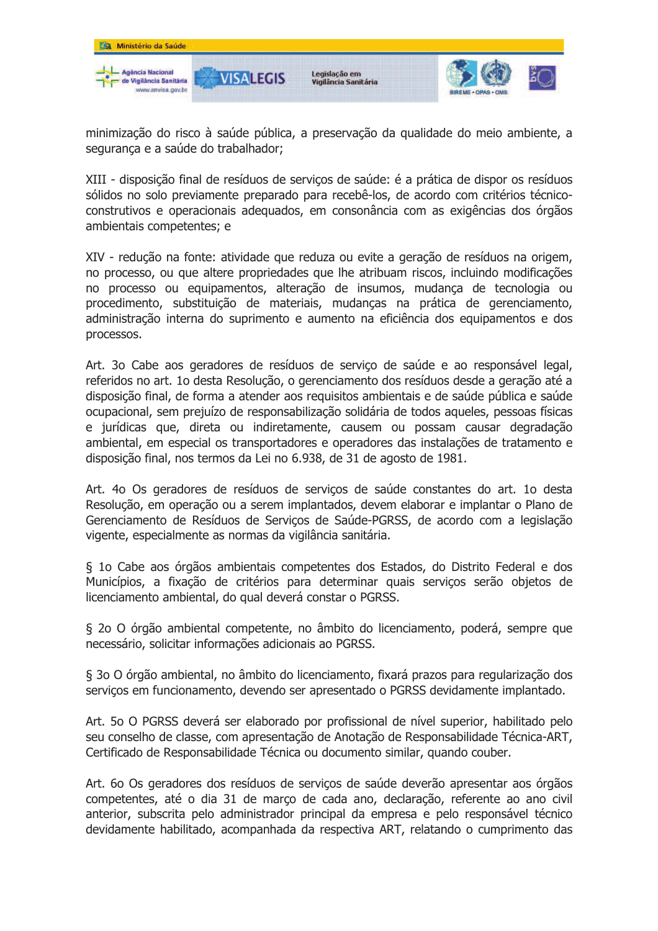

minimização do risco à saúde pública, a preservação da qualidade do meio ambiente, a segurança e a saúde do trabalhador;

XIII - disposição final de resíduos de serviços de saúde: é a prática de dispor os resíduos sólidos no solo previamente preparado para recebê-los, de acordo com critérios técnicoconstrutivos e operacionais adequados, em consonância com as exigências dos órgãos ambientais competentes; e

XIV - redução na fonte: atividade que reduza ou evite a geração de resíduos na origem, no processo, ou que altere propriedades que lhe atribuam riscos, incluindo modificações no processo ou equipamentos, alteração de insumos, mudança de tecnologia ou procedimento, substituição de materiais, mudanças na prática de gerenciamento, administração interna do suprimento e aumento na eficiência dos equipamentos e dos processos.

Art. 30 Cabe aos geradores de resíduos de serviço de saúde e ao responsável legal, referidos no art. 1o desta Resolução, o gerenciamento dos resíduos desde a geração até a disposição final, de forma a atender aos requisitos ambientais e de saúde pública e saúde ocupacional, sem prejuízo de responsabilização solidária de todos aqueles, pessoas físicas e jurídicas que, direta ou indiretamente, causem ou possam causar degradação ambiental, em especial os transportadores e operadores das instalações de tratamento e disposição final, nos termos da Lei no 6.938, de 31 de agosto de 1981.

Art. 4o Os geradores de resíduos de serviços de saúde constantes do art. 1o desta Resolução, em operação ou a serem implantados, devem elaborar e implantar o Plano de Gerenciamento de Resíduos de Servicos de Saúde-PGRSS, de acordo com a legislação vigente, especialmente as normas da vigilância sanitária.

§ 10 Cabe aos órgãos ambientais competentes dos Estados, do Distrito Federal e dos Municípios, a fixação de critérios para determinar quais serviços serão objetos de licenciamento ambiental, do qual deverá constar o PGRSS.

§ 20 O órgão ambiental competente, no âmbito do licenciamento, poderá, sempre que necessário, solicitar informações adicionais ao PGRSS.

§ 30 O órgão ambiental, no âmbito do licenciamento, fixará prazos para regularização dos serviços em funcionamento, devendo ser apresentado o PGRSS devidamente implantado.

Art. 50 O PGRSS deverá ser elaborado por profissional de nível superior, habilitado pelo seu conselho de classe, com apresentação de Anotação de Responsabilidade Técnica-ART, Certificado de Responsabilidade Técnica ou documento similar, quando couber.

Art. 60 Os geradores dos resíduos de serviços de saúde deverão apresentar aos órgãos competentes, até o dia 31 de marco de cada ano, declaração, referente ao ano civil anterior, subscrita pelo administrador principal da empresa e pelo responsável técnico devidamente habilitado, acompanhada da respectiva ART, relatando o cumprimento das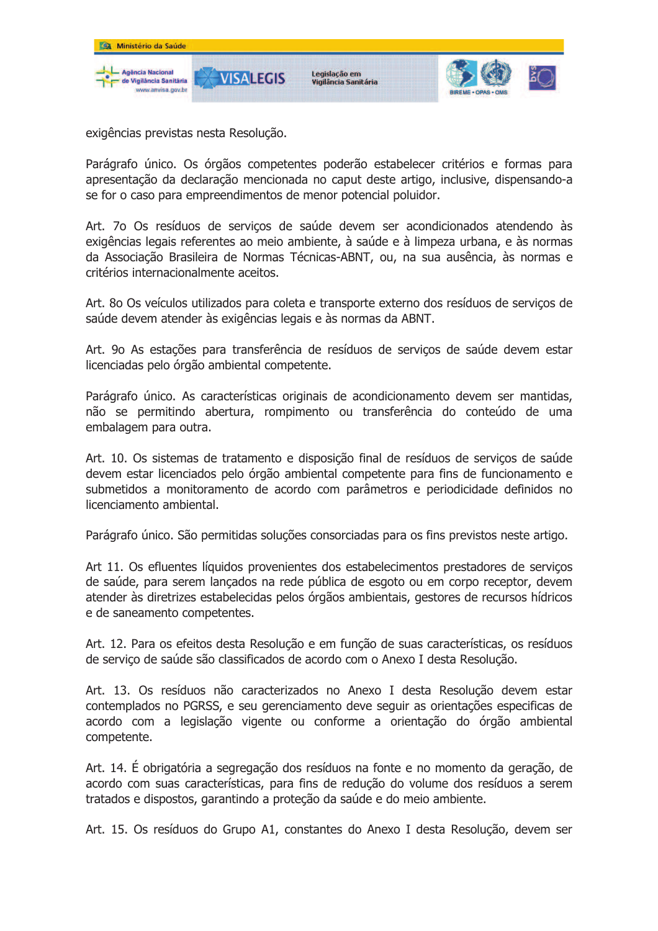

exigências previstas nesta Resolução.

Parágrafo único. Os órgãos competentes poderão estabelecer critérios e formas para apresentação da declaração mencionada no caput deste artigo, inclusive, dispensando-a se for o caso para empreendimentos de menor potencial poluidor.

Art. 70 Os resíduos de servicos de saúde devem ser acondicionados atendendo às exigências legais referentes ao meio ambiente, à saúde e à limpeza urbana, e às normas da Associação Brasileira de Normas Técnicas-ABNT, ou, na sua ausência, às normas e critérios internacionalmente aceitos.

Art. 80 Os veículos utilizados para coleta e transporte externo dos resíduos de servicos de saúde devem atender às exigências legais e às normas da ABNT.

Art. 90 As estações para transferência de resíduos de servicos de saúde devem estar licenciadas pelo órgão ambiental competente.

Parágrafo único. As características originais de acondicionamento devem ser mantidas, não se permitindo abertura, rompimento ou transferência do conteúdo de uma embalagem para outra.

Art. 10. Os sistemas de tratamento e disposição final de resíduos de serviços de saúde devem estar licenciados pelo órgão ambiental competente para fins de funcionamento e submetidos a monitoramento de acordo com parâmetros e periodicidade definidos no licenciamento ambiental.

Parágrafo único. São permitidas soluções consorciadas para os fins previstos neste artigo.

Art 11. Os efluentes líquidos provenientes dos estabelecimentos prestadores de servicos de saúde, para serem lançados na rede pública de esgoto ou em corpo receptor, devem atender às diretrizes estabelecidas pelos órgãos ambientais, gestores de recursos hídricos e de saneamento competentes.

Art. 12. Para os efeitos desta Resolução e em função de suas características, os resíduos de servico de saúde são classificados de acordo com o Anexo I desta Resolução.

Art. 13. Os resíduos não caracterizados no Anexo I desta Resolução devem estar contemplados no PGRSS, e seu gerenciamento deve seguir as orientações especificas de acordo com a legislação vigente ou conforme a orientação do órgão ambiental competente.

Art. 14. É obrigatória a segregação dos resíduos na fonte e no momento da geração, de acordo com suas características, para fins de redução do volume dos resíduos a serem tratados e dispostos, garantindo a proteção da saúde e do meio ambiente.

Art. 15. Os resíduos do Grupo A1, constantes do Anexo I desta Resolução, devem ser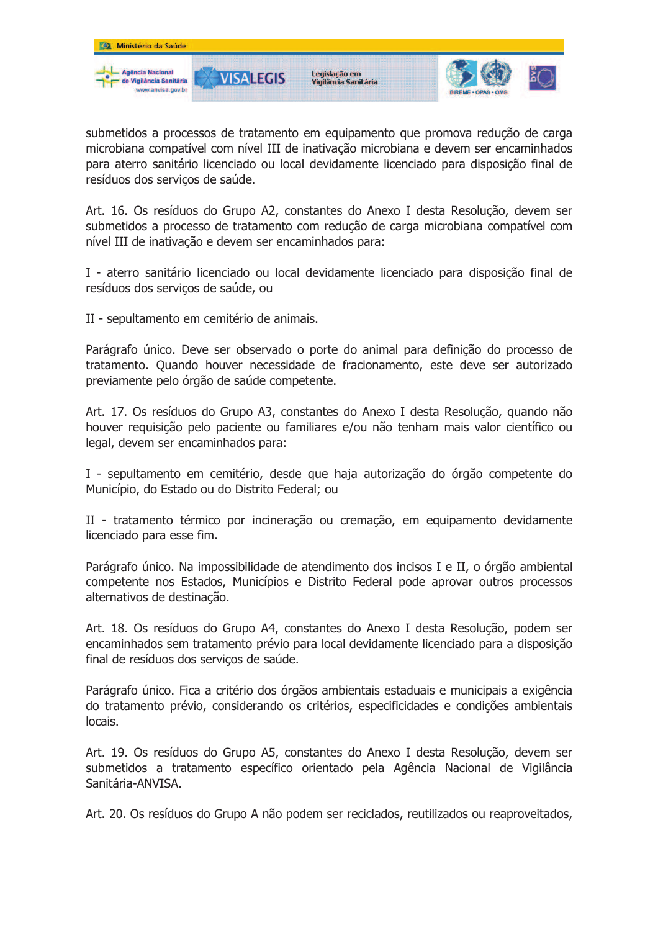

submetidos a processos de tratamento em equipamento que promova redução de carga microbiana compatível com nível III de inativação microbiana e devem ser encaminhados para aterro sanitário licenciado ou local devidamente licenciado para disposição final de resíduos dos servicos de saúde.

Art. 16. Os resíduos do Grupo A2, constantes do Anexo I desta Resolução, devem ser submetidos a processo de tratamento com redução de carga microbiana compatível com nível III de inativação e devem ser encaminhados para:

I - aterro sanitário licenciado ou local devidamente licenciado para disposição final de resíduos dos serviços de saúde, ou

II - sepultamento em cemitério de animais.

Parágrafo único. Deve ser observado o porte do animal para definição do processo de tratamento. Quando houver necessidade de fracionamento, este deve ser autorizado previamente pelo órgão de saúde competente.

Art. 17. Os resíduos do Grupo A3, constantes do Anexo I desta Resolução, quando não houver requisição pelo paciente ou familiares e/ou não tenham mais valor científico ou legal, devem ser encaminhados para:

I - sepultamento em cemitério, desde que haja autorização do órgão competente do Município, do Estado ou do Distrito Federal; ou

II - tratamento térmico por incineração ou cremação, em equipamento devidamente licenciado para esse fim.

Parágrafo único. Na impossibilidade de atendimento dos incisos I e II, o órgão ambiental competente nos Estados, Municípios e Distrito Federal pode aprovar outros processos alternativos de destinação.

Art. 18. Os resíduos do Grupo A4, constantes do Anexo I desta Resolução, podem ser encaminhados sem tratamento prévio para local devidamente licenciado para a disposição final de resíduos dos servicos de saúde.

Parágrafo único. Fica a critério dos órgãos ambientais estaduais e municipais a exigência do tratamento prévio, considerando os critérios, especificidades e condições ambientais locais.

Art. 19. Os resíduos do Grupo A5, constantes do Anexo I desta Resolução, devem ser submetidos a tratamento específico orientado pela Agência Nacional de Vigilância Sanitária-ANVISA.

Art. 20. Os resíduos do Grupo A não podem ser reciclados, reutilizados ou reaproveitados,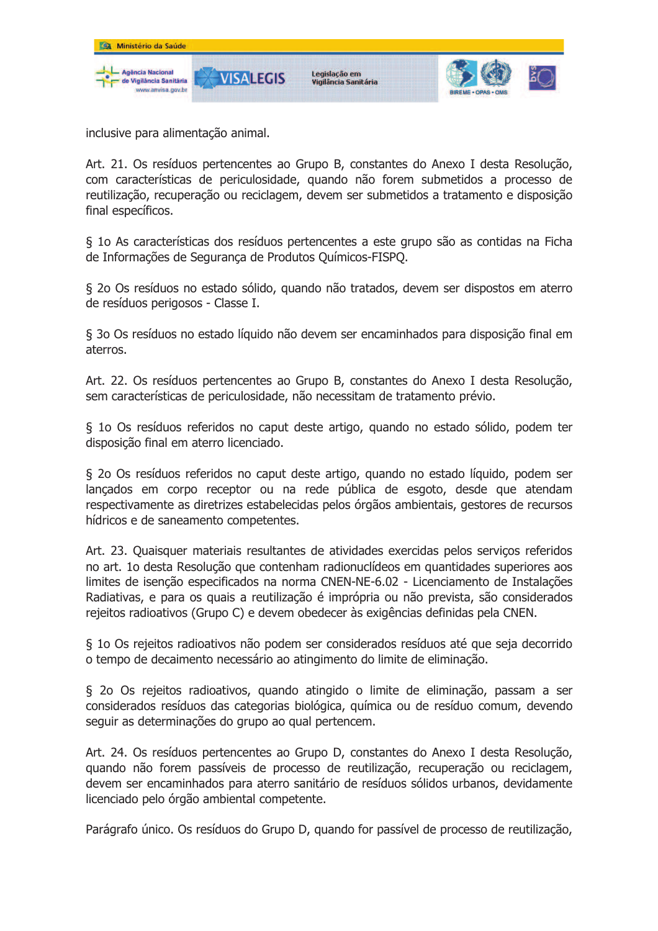

inclusive para alimentação animal.

Art. 21. Os resíduos pertencentes ao Grupo B, constantes do Anexo I desta Resolução, com características de periculosidade, quando não forem submetidos a processo de reutilização, recuperação ou reciclagem, devem ser submetidos a tratamento e disposição final específicos.

§ 10 As características dos resíduos pertencentes a este grupo são as contidas na Ficha de Informações de Segurança de Produtos Químicos-FISPQ.

§ 2o Os resíduos no estado sólido, quando não tratados, devem ser dispostos em aterro de resíduos perigosos - Classe I.

§ 3o Os resíduos no estado líquido não devem ser encaminhados para disposição final em aterros.

Art. 22. Os resíduos pertencentes ao Grupo B, constantes do Anexo I desta Resolução, sem características de periculosidade, não necessitam de tratamento prévio.

§ 10 Os resíduos referidos no caput deste artigo, quando no estado sólido, podem ter disposição final em aterro licenciado.

§ 20 Os resíduos referidos no caput deste artigo, quando no estado líquido, podem ser lançados em corpo receptor ou na rede pública de esgoto, desde que atendam respectivamente as diretrizes estabelecidas pelos órgãos ambientais, gestores de recursos hídricos e de saneamento competentes.

Art. 23. Quaisquer materiais resultantes de atividades exercidas pelos servicos referidos no art. 10 desta Resolução que contenham radionuclídeos em quantidades superiores aos limites de isenção especificados na norma CNEN-NE-6.02 - Licenciamento de Instalações Radiativas, e para os quais a reutilização é imprópria ou não prevista, são considerados rejeitos radioativos (Grupo C) e devem obedecer às exigências definidas pela CNEN.

§ 10 Os rejeitos radioativos não podem ser considerados resíduos até que seja decorrido o tempo de decaimento necessário ao atingimento do limite de eliminação.

§ 2o Os rejeitos radioativos, quando atingido o limite de eliminação, passam a ser considerados resíduos das categorias biológica, química ou de resíduo comum, devendo seguir as determinações do grupo ao qual pertencem.

Art. 24. Os resíduos pertencentes ao Grupo D, constantes do Anexo I desta Resolução, quando não forem passíveis de processo de reutilização, recuperação ou reciclagem, devem ser encaminhados para aterro sanitário de resíduos sólidos urbanos, devidamente licenciado pelo órgão ambiental competente.

Parágrafo único. Os resíduos do Grupo D, quando for passível de processo de reutilização,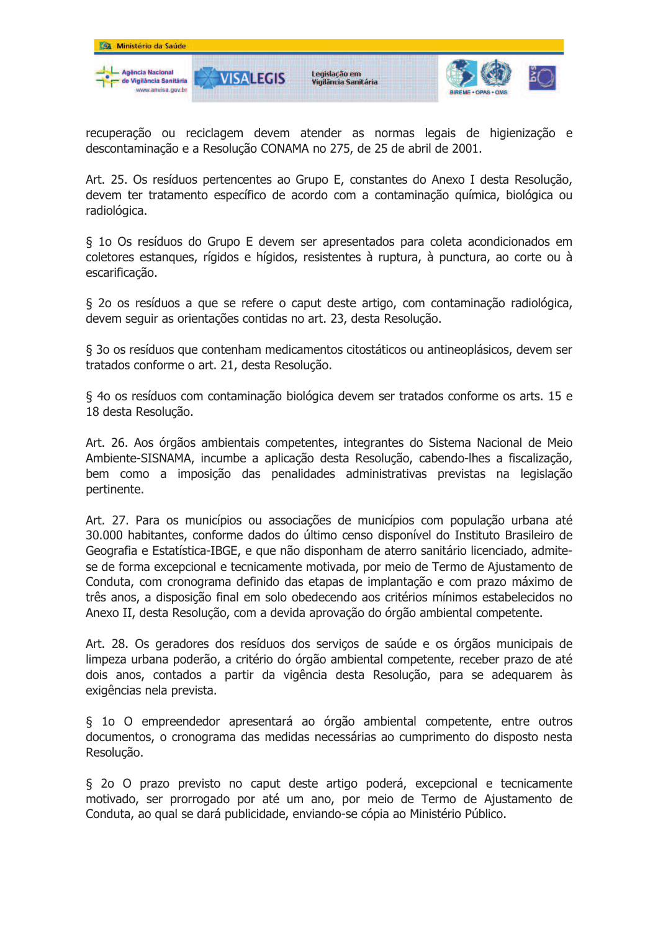

recuperação ou reciclagem devem atender as normas legais de higienização e descontaminação e a Resolução CONAMA no 275, de 25 de abril de 2001.

Art. 25. Os resíduos pertencentes ao Grupo E, constantes do Anexo I desta Resolução, devem ter tratamento específico de acordo com a contaminação química, biológica ou radiológica.

§ 10 Os resíduos do Grupo E devem ser apresentados para coleta acondicionados em coletores estangues, rígidos e hígidos, resistentes à ruptura, à punctura, ao corte ou à escarificação.

§ 20 os resíduos a que se refere o caput deste artigo, com contaminação radiológica, devem seguir as orientações contidas no art. 23, desta Resolução.

§ 30 os resíduos que contenham medicamentos citostáticos ou antineoplásicos, devem ser tratados conforme o art. 21, desta Resolução.

§ 40 os resíduos com contaminação biológica devem ser tratados conforme os arts. 15 e 18 desta Resolução.

Art. 26. Aos órgãos ambientais competentes, integrantes do Sistema Nacional de Meio Ambiente-SISNAMA, incumbe a aplicação desta Resolução, cabendo-lhes a fiscalização, bem como a imposição das penalidades administrativas previstas na legislação pertinente.

Art. 27. Para os municípios ou associações de municípios com população urbana até 30.000 habitantes, conforme dados do último censo disponível do Instituto Brasileiro de Geografia e Estatística-IBGE, e que não disponham de aterro sanitário licenciado, admitese de forma excepcional e tecnicamente motivada, por meio de Termo de Ajustamento de Conduta, com cronograma definido das etapas de implantação e com prazo máximo de três anos, a disposição final em solo obedecendo aos critérios mínimos estabelecidos no Anexo II, desta Resolução, com a devida aprovação do órgão ambiental competente.

Art. 28. Os geradores dos resíduos dos serviços de saúde e os órgãos municipais de limpeza urbana poderão, a critério do órgão ambiental competente, receber prazo de até dois anos, contados a partir da vigência desta Resolução, para se adequarem às exigências nela prevista.

§ 10 O empreendedor apresentará ao órgão ambiental competente, entre outros documentos, o cronograma das medidas necessárias ao cumprimento do disposto nesta Resolução.

§ 20 O prazo previsto no caput deste artigo poderá, excepcional e tecnicamente motivado, ser prorrogado por até um ano, por meio de Termo de Ajustamento de Conduta, ao qual se dará publicidade, enviando-se cópia ao Ministério Público.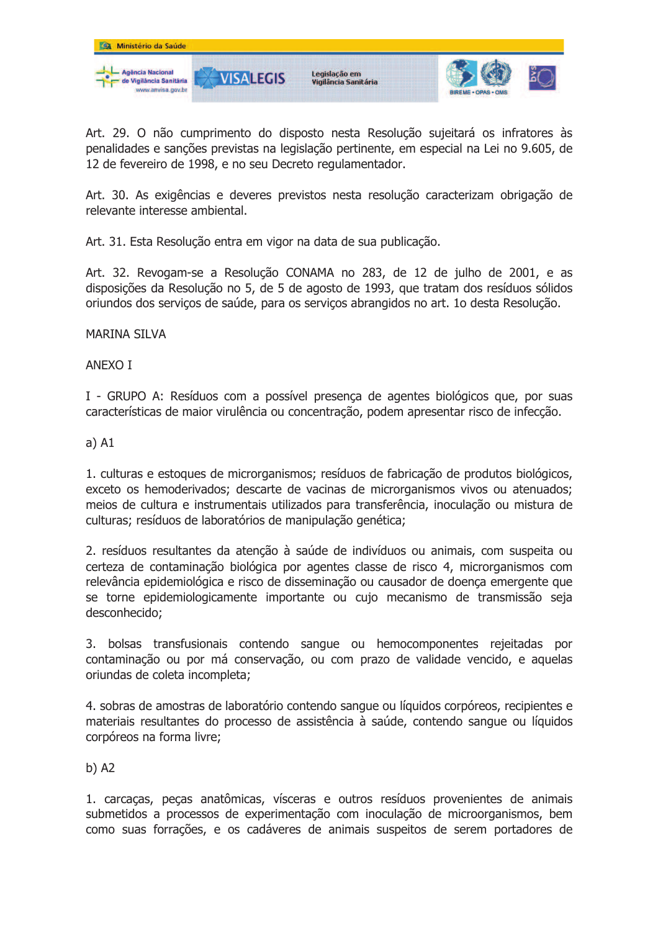

Art. 29. O não cumprimento do disposto nesta Resolução sujeitará os infratores às penalidades e sanções previstas na legislação pertinente, em especial na Lei no 9.605, de 12 de fevereiro de 1998, e no seu Decreto regulamentador.

Art. 30. As exigências e deveres previstos nesta resolução caracterizam obrigação de relevante interesse ambiental.

Art. 31. Esta Resolução entra em vigor na data de sua publicação.

Art. 32. Revogam-se a Resolução CONAMA no 283, de 12 de julho de 2001, e as disposições da Resolução no 5, de 5 de agosto de 1993, que tratam dos resíduos sólidos oriundos dos serviços de saúde, para os serviços abrangidos no art. 1o desta Resolução.

## **MARINA SILVA**

**ANEXO I** 

I - GRUPO A: Resíduos com a possível presenca de agentes biológicos que, por suas características de maior virulência ou concentração, podem apresentar risco de infecção.

## $a)$  A1

1. culturas e estogues de microrganismos; resíduos de fabricação de produtos biológicos, exceto os hemoderivados; descarte de vacinas de microrganismos vivos ou atenuados; meios de cultura e instrumentais utilizados para transferência, inoculação ou mistura de culturas; resíduos de laboratórios de manipulação genética;

2. resíduos resultantes da atenção à saúde de indivíduos ou animais, com suspeita ou certeza de contaminação biológica por agentes classe de risco 4, microrganismos com relevância epidemiológica e risco de disseminação ou causador de doença emergente que se torne epidemiologicamente importante ou cujo mecanismo de transmissão seja desconhecido;

3. bolsas transfusionais contendo sangue ou hemocomponentes rejeitadas por contaminação ou por má conservação, ou com prazo de validade vencido, e aquelas oriundas de coleta incompleta;

4. sobras de amostras de laboratório contendo sangue ou líquidos corpóreos, recipientes e materiais resultantes do processo de assistência à saúde, contendo sangue ou líquidos corpóreos na forma livre;

 $b)$  A2

1. carcaças, peças anatômicas, vísceras e outros resíduos provenientes de animais submetidos a processos de experimentação com inoculação de microorganismos, bem como suas forrações, e os cadáveres de animais suspeitos de serem portadores de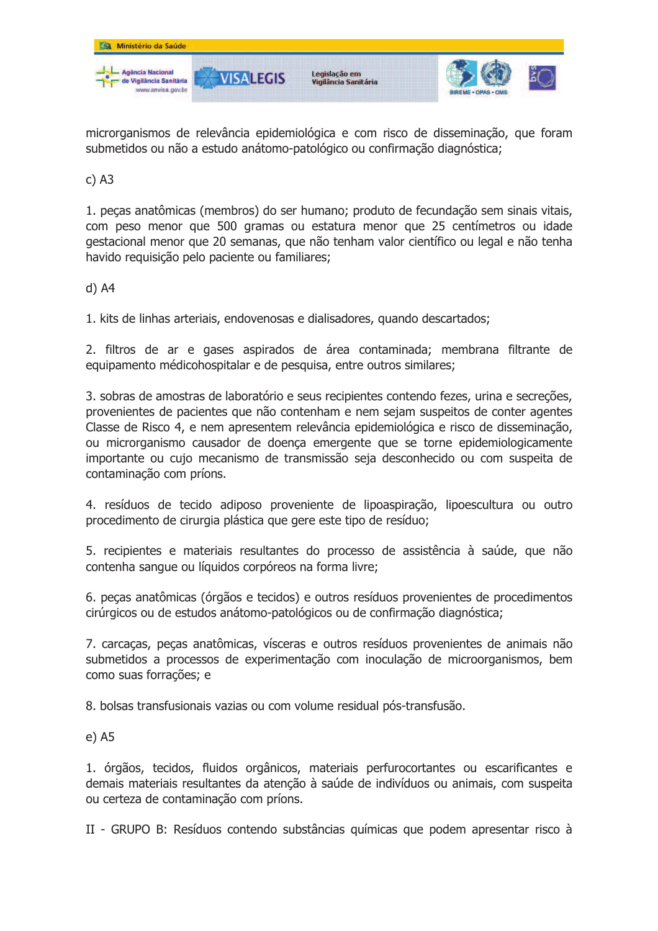

microrganismos de relevância epidemiológica e com risco de disseminação, que foram submetidos ou não a estudo anátomo-patológico ou confirmação diagnóstica;

 $c)$  A3

1. peças anatômicas (membros) do ser humano; produto de fecundação sem sinais vitais, com peso menor que 500 gramas ou estatura menor que 25 centímetros ou idade gestacional menor que 20 semanas, que não tenham valor científico ou legal e não tenha havido requisição pelo paciente ou familiares;

 $d)$  A4

1. kits de linhas arteriais, endovenosas e dialisadores, quando descartados;

2. filtros de ar e gases aspirados de área contaminada; membrana filtrante de equipamento médicohospitalar e de pesquisa, entre outros similares;

3, sobras de amostras de laboratório e seus recipientes contendo fezes, urina e secreções, provenientes de pacientes que não contenham e nem sejam suspeitos de conter agentes Classe de Risco 4, e nem apresentem relevância epidemiológica e risco de disseminação, ou microrganismo causador de doenca emergente que se torne epidemiologicamente importante ou cujo mecanismo de transmissão seja desconhecido ou com suspeita de contaminação com príons.

4. resíduos de tecido adiposo proveniente de lipoaspiração, lipoescultura ou outro procedimento de cirurgia plástica que gere este tipo de resíduo;

5. recipientes e materiais resultantes do processo de assistência à saúde, que não contenha sangue ou líquidos corpóreos na forma livre;

6. peças anatômicas (órgãos e tecidos) e outros resíduos provenientes de procedimentos cirúrgicos ou de estudos anátomo-patológicos ou de confirmação diagnóstica;

7. carcaças, peças anatômicas, vísceras e outros resíduos provenientes de animais não submetidos a processos de experimentação com inoculação de microorganismos, bem como suas forrações; e

8. bolsas transfusionais vazias ou com volume residual pós-transfusão.

 $e)$  A5

1. órgãos, tecidos, fluidos orgânicos, materiais perfurocortantes ou escarificantes e demais materiais resultantes da atenção à saúde de indivíduos ou animais, com suspeita ou certeza de contaminação com príons.

II - GRUPO B: Resíduos contendo substâncias químicas que podem apresentar risco à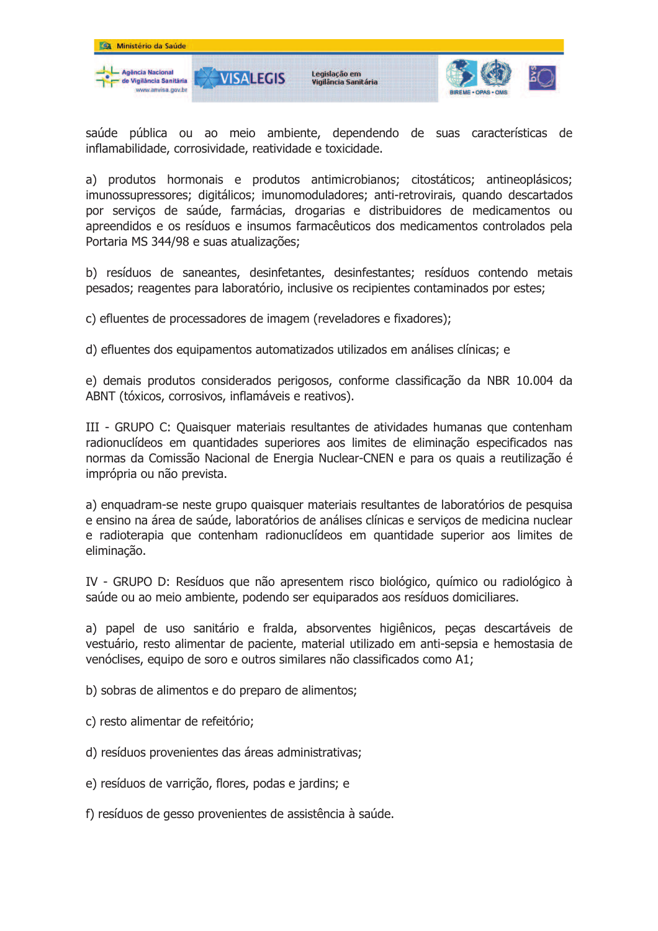

saúde pública ou ao meio ambiente, dependendo de suas características de inflamabilidade, corrosividade, reatividade e toxicidade.

a) produtos hormonais e produtos antimicrobianos; citostáticos; antineoplásicos; imunossupressores; digitálicos; imunomoduladores; anti-retrovirais, quando descartados por serviços de saúde, farmácias, drogarias e distribuidores de medicamentos ou apreendidos e os resíduos e insumos farmacêuticos dos medicamentos controlados pela Portaria MS 344/98 e suas atualizações;

b) resíduos de saneantes, desinfetantes, desinfestantes; resíduos contendo metais pesados; reagentes para laboratório, inclusive os recipientes contaminados por estes;

c) efluentes de processadores de imagem (reveladores e fixadores);

d) efluentes dos equipamentos automatizados utilizados em análises clínicas; e

e) demais produtos considerados perigosos, conforme classificação da NBR 10.004 da ABNT (tóxicos, corrosivos, inflamáveis e reativos).

III - GRUPO C: Quaisquer materiais resultantes de atividades humanas que contenham radionuclídeos em quantidades superiores aos limites de eliminação especificados nas normas da Comissão Nacional de Energia Nuclear-CNEN e para os quais a reutilização é imprópria ou não prevista.

a) enquadram-se neste grupo quaisquer materiais resultantes de laboratórios de pesquisa e ensino na área de saúde, laboratórios de análises clínicas e servicos de medicina nuclear e radioterapia que contenham radionuclídeos em quantidade superior aos limites de eliminação.

IV - GRUPO D: Resíduos que não apresentem risco biológico, químico ou radiológico à saúde ou ao meio ambiente, podendo ser equiparados aos resíduos domiciliares.

a) papel de uso sanitário e fralda, absorventes higiênicos, peças descartáveis de vestuário, resto alimentar de paciente, material utilizado em anti-sepsia e hemostasia de venóclises, equipo de soro e outros similares não classificados como A1;

- b) sobras de alimentos e do preparo de alimentos;
- c) resto alimentar de refeitório;
- d) resíduos provenientes das áreas administrativas;
- e) resíduos de varrição, flores, podas e jardins; e

f) resíduos de gesso provenientes de assistência à saúde.